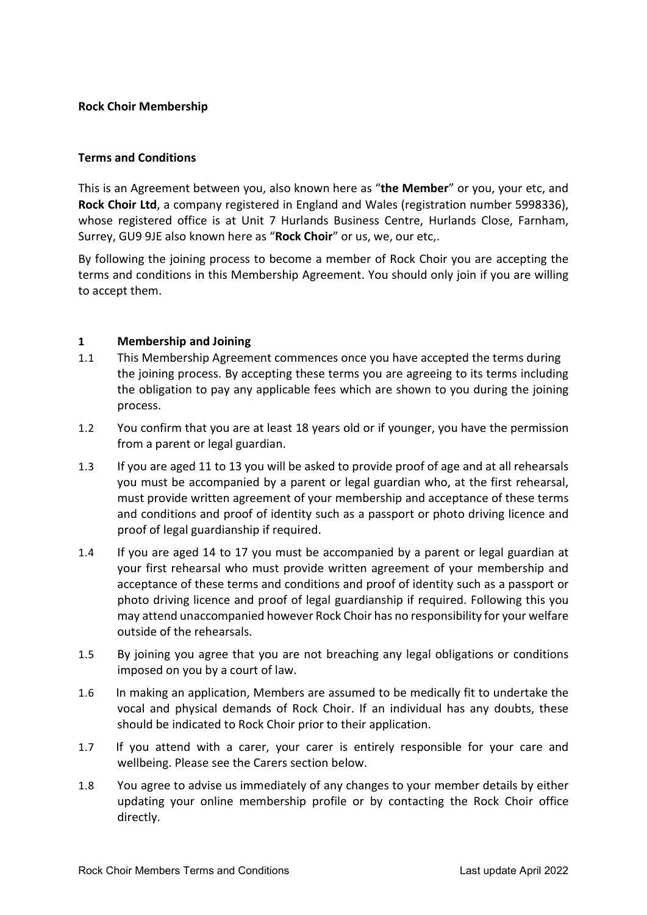### Rock Choir Membership

### Terms and Conditions

This is an Agreement between you, also known here as "the Member" or you, your etc, and Rock Choir Ltd, a company registered in England and Wales (registration number 5998336), whose registered office is at Unit 7 Hurlands Business Centre, Hurlands Close, Farnham, Surrey, GU9 9JE also known here as "Rock Choir" or us, we, our etc,.

By following the joining process to become a member of Rock Choir you are accepting the terms and conditions in this Membership Agreement. You should only join if you are willing to accept them.

## 1 Membership and Joining

- 1.1 This Membership Agreement commences once you have accepted the terms during the joining process. By accepting these terms you are agreeing to its terms including the obligation to pay any applicable fees which are shown to you during the joining process.
- 1.2 You confirm that you are at least 18 years old or if younger, you have the permission from a parent or legal guardian.
- 1.3 If you are aged 11 to 13 you will be asked to provide proof of age and at all rehearsals you must be accompanied by a parent or legal guardian who, at the first rehearsal, must provide written agreement of your membership and acceptance of these terms and conditions and proof of identity such as a passport or photo driving licence and proof of legal guardianship if required.
- 1.4 If you are aged 14 to 17 you must be accompanied by a parent or legal guardian at your first rehearsal who must provide written agreement of your membership and acceptance of these terms and conditions and proof of identity such as a passport or photo driving licence and proof of legal guardianship if required. Following this you may attend unaccompanied however Rock Choir has no responsibility for your welfare outside of the rehearsals.
- 1.5 By joining you agree that you are not breaching any legal obligations or conditions imposed on you by a court of law.
- 1.6 In making an application, Members are assumed to be medically fit to undertake the vocal and physical demands of Rock Choir. If an individual has any doubts, these should be indicated to Rock Choir prior to their application.
- 1.7 If you attend with a carer, your carer is entirely responsible for your care and wellbeing. Please see the Carers section below.
- 1.8 You agree to advise us immediately of any changes to your member details by either updating your online membership profile or by contacting the Rock Choir office directly.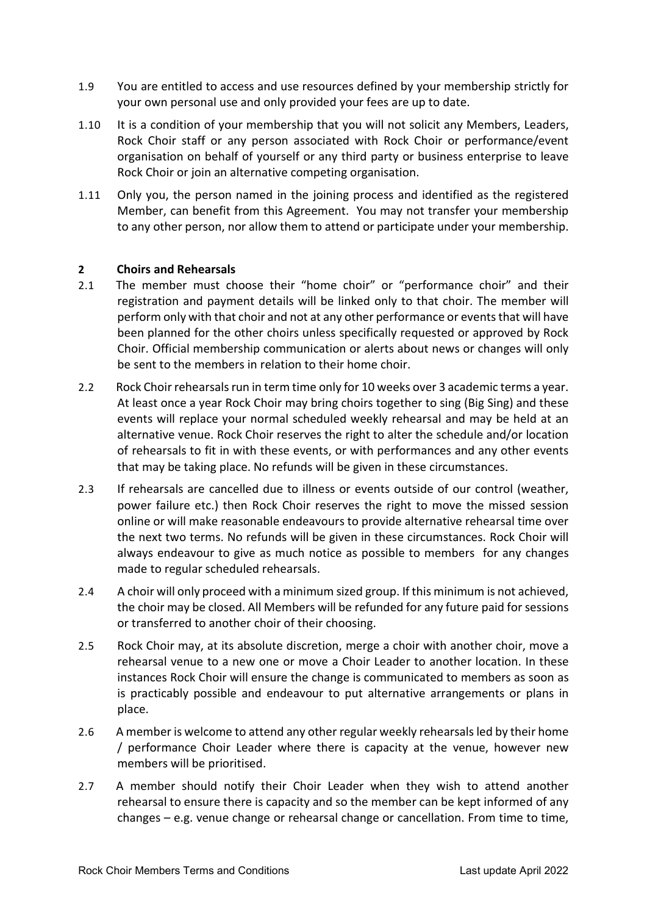- 1.9 You are entitled to access and use resources defined by your membership strictly for your own personal use and only provided your fees are up to date.
- 1.10 It is a condition of your membership that you will not solicit any Members, Leaders, Rock Choir staff or any person associated with Rock Choir or performance/event organisation on behalf of yourself or any third party or business enterprise to leave Rock Choir or join an alternative competing organisation.
- 1.11 Only you, the person named in the joining process and identified as the registered Member, can benefit from this Agreement. You may not transfer your membership to any other person, nor allow them to attend or participate under your membership.

## 2 Choirs and Rehearsals

- 2.1 The member must choose their "home choir" or "performance choir" and their registration and payment details will be linked only to that choir. The member will perform only with that choir and not at any other performance or events that will have been planned for the other choirs unless specifically requested or approved by Rock Choir. Official membership communication or alerts about news or changes will only be sent to the members in relation to their home choir.
- 2.2 Rock Choir rehearsals run in term time only for 10 weeks over 3 academic terms a year. At least once a year Rock Choir may bring choirs together to sing (Big Sing) and these events will replace your normal scheduled weekly rehearsal and may be held at an alternative venue. Rock Choir reserves the right to alter the schedule and/or location of rehearsals to fit in with these events, or with performances and any other events that may be taking place. No refunds will be given in these circumstances.
- 2.3 If rehearsals are cancelled due to illness or events outside of our control (weather, power failure etc.) then Rock Choir reserves the right to move the missed session online or will make reasonable endeavours to provide alternative rehearsal time over the next two terms. No refunds will be given in these circumstances. Rock Choir will always endeavour to give as much notice as possible to members for any changes made to regular scheduled rehearsals.
- 2.4 A choir will only proceed with a minimum sized group. If this minimum is not achieved, the choir may be closed. All Members will be refunded for any future paid for sessions or transferred to another choir of their choosing.
- 2.5 Rock Choir may, at its absolute discretion, merge a choir with another choir, move a rehearsal venue to a new one or move a Choir Leader to another location. In these instances Rock Choir will ensure the change is communicated to members as soon as is practicably possible and endeavour to put alternative arrangements or plans in place.
- 2.6 A member is welcome to attend any other regular weekly rehearsals led by their home / performance Choir Leader where there is capacity at the venue, however new members will be prioritised.
- 2.7 A member should notify their Choir Leader when they wish to attend another rehearsal to ensure there is capacity and so the member can be kept informed of any changes – e.g. venue change or rehearsal change or cancellation. From time to time,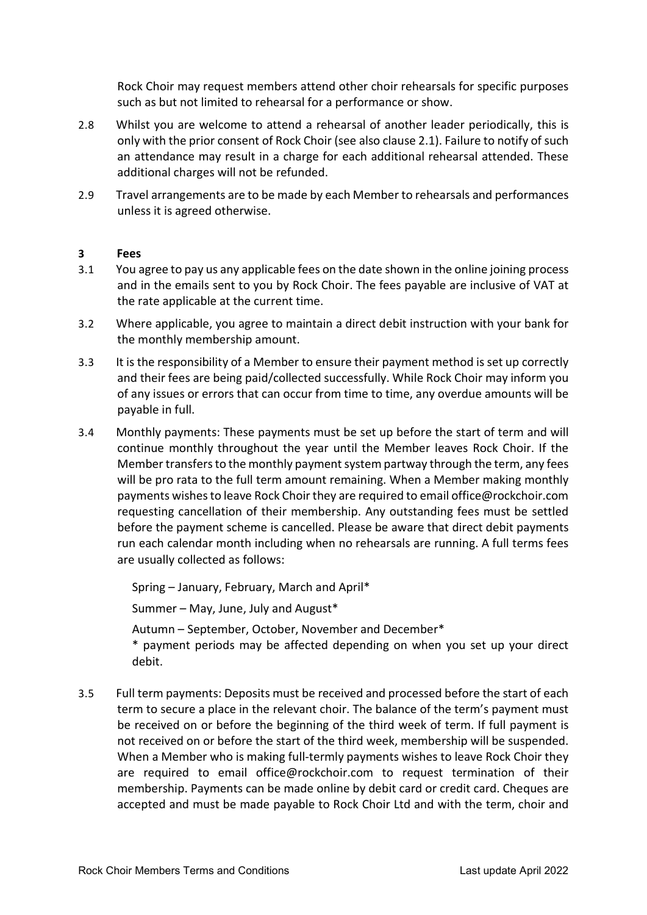Rock Choir may request members attend other choir rehearsals for specific purposes such as but not limited to rehearsal for a performance or show.

- 2.8 Whilst you are welcome to attend a rehearsal of another leader periodically, this is only with the prior consent of Rock Choir (see also clause 2.1). Failure to notify of such an attendance may result in a charge for each additional rehearsal attended. These additional charges will not be refunded.
- 2.9 Travel arrangements are to be made by each Member to rehearsals and performances unless it is agreed otherwise.

### 3 Fees

- 3.1 You agree to pay us any applicable fees on the date shown in the online joining process and in the emails sent to you by Rock Choir. The fees payable are inclusive of VAT at the rate applicable at the current time.
- 3.2 Where applicable, you agree to maintain a direct debit instruction with your bank for the monthly membership amount.
- 3.3 It is the responsibility of a Member to ensure their payment method is set up correctly and their fees are being paid/collected successfully. While Rock Choir may inform you of any issues or errors that can occur from time to time, any overdue amounts will be payable in full.
- 3.4 Monthly payments: These payments must be set up before the start of term and will continue monthly throughout the year until the Member leaves Rock Choir. If the Member transfers to the monthly payment system partway through the term, any fees will be pro rata to the full term amount remaining. When a Member making monthly payments wishes to leave Rock Choir they are required to email office@rockchoir.com requesting cancellation of their membership. Any outstanding fees must be settled before the payment scheme is cancelled. Please be aware that direct debit payments run each calendar month including when no rehearsals are running. A full terms fees are usually collected as follows:

Spring – January, February, March and April\*

Summer – May, June, July and August\*

Autumn – September, October, November and December\* \* payment periods may be affected depending on when you set up your direct debit.

3.5 Full term payments: Deposits must be received and processed before the start of each term to secure a place in the relevant choir. The balance of the term's payment must be received on or before the beginning of the third week of term. If full payment is not received on or before the start of the third week, membership will be suspended. When a Member who is making full-termly payments wishes to leave Rock Choir they are required to email office@rockchoir.com to request termination of their membership. Payments can be made online by debit card or credit card. Cheques are accepted and must be made payable to Rock Choir Ltd and with the term, choir and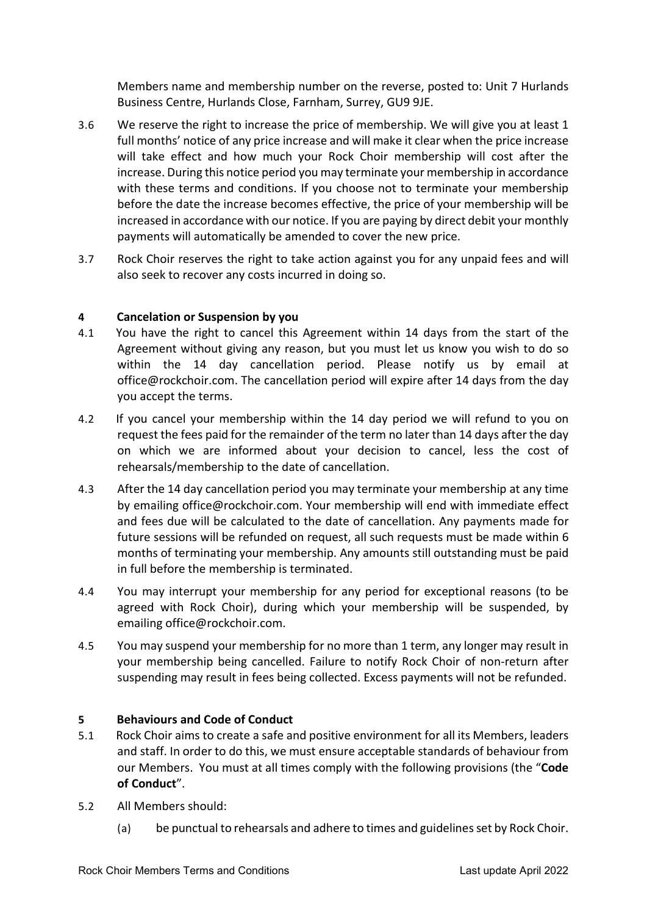Members name and membership number on the reverse, posted to: Unit 7 Hurlands Business Centre, Hurlands Close, Farnham, Surrey, GU9 9JE.

- 3.6 We reserve the right to increase the price of membership. We will give you at least 1 full months' notice of any price increase and will make it clear when the price increase will take effect and how much your Rock Choir membership will cost after the increase. During this notice period you may terminate your membership in accordance with these terms and conditions. If you choose not to terminate your membership before the date the increase becomes effective, the price of your membership will be increased in accordance with our notice. If you are paying by direct debit your monthly payments will automatically be amended to cover the new price.
- 3.7 Rock Choir reserves the right to take action against you for any unpaid fees and will also seek to recover any costs incurred in doing so.

## 4 Cancelation or Suspension by you

- 4.1 You have the right to cancel this Agreement within 14 days from the start of the Agreement without giving any reason, but you must let us know you wish to do so within the 14 day cancellation period. Please notify us by email at office@rockchoir.com. The cancellation period will expire after 14 days from the day you accept the terms.
- 4.2 If you cancel your membership within the 14 day period we will refund to you on request the fees paid for the remainder of the term no later than 14 days after the day on which we are informed about your decision to cancel, less the cost of rehearsals/membership to the date of cancellation.
- 4.3 After the 14 day cancellation period you may terminate your membership at any time by emailing office@rockchoir.com. Your membership will end with immediate effect and fees due will be calculated to the date of cancellation. Any payments made for future sessions will be refunded on request, all such requests must be made within 6 months of terminating your membership. Any amounts still outstanding must be paid in full before the membership is terminated.
- 4.4 You may interrupt your membership for any period for exceptional reasons (to be agreed with Rock Choir), during which your membership will be suspended, by emailing office@rockchoir.com.
- 4.5 You may suspend your membership for no more than 1 term, any longer may result in your membership being cancelled. Failure to notify Rock Choir of non-return after suspending may result in fees being collected. Excess payments will not be refunded.

### 5 Behaviours and Code of Conduct

- 5.1 Rock Choir aims to create a safe and positive environment for all its Members, leaders and staff. In order to do this, we must ensure acceptable standards of behaviour from our Members. You must at all times comply with the following provisions (the "Code of Conduct".
- 5.2 All Members should:
	- (a) be punctual to rehearsals and adhere to times and guidelines set by Rock Choir.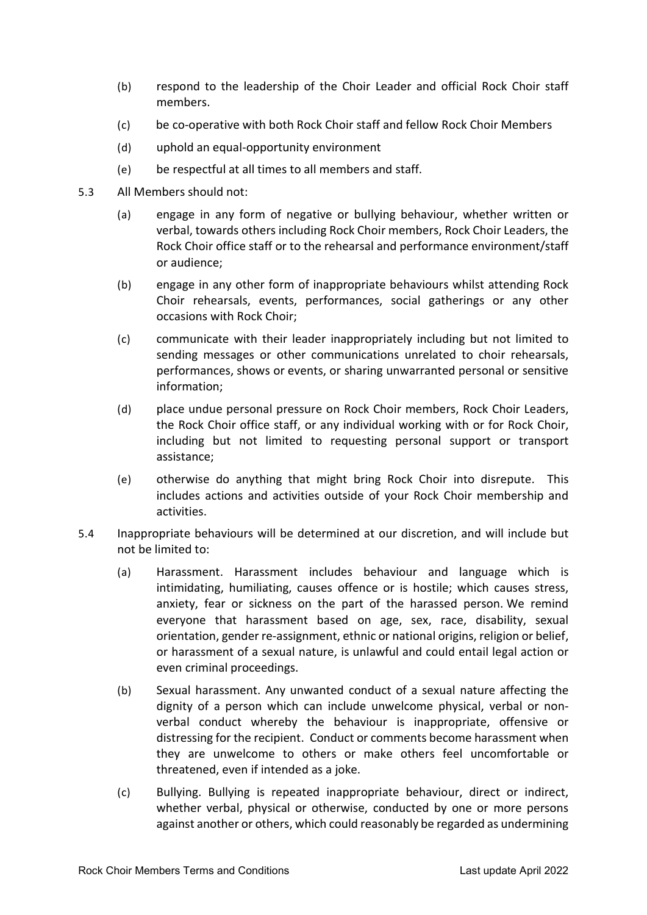- (b) respond to the leadership of the Choir Leader and official Rock Choir staff members.
- (c) be co-operative with both Rock Choir staff and fellow Rock Choir Members
- (d) uphold an equal-opportunity environment
- (e) be respectful at all times to all members and staff.
- 5.3 All Members should not:
	- (a) engage in any form of negative or bullying behaviour, whether written or verbal, towards others including Rock Choir members, Rock Choir Leaders, the Rock Choir office staff or to the rehearsal and performance environment/staff or audience;
	- (b) engage in any other form of inappropriate behaviours whilst attending Rock Choir rehearsals, events, performances, social gatherings or any other occasions with Rock Choir;
	- (c) communicate with their leader inappropriately including but not limited to sending messages or other communications unrelated to choir rehearsals, performances, shows or events, or sharing unwarranted personal or sensitive information;
	- (d) place undue personal pressure on Rock Choir members, Rock Choir Leaders, the Rock Choir office staff, or any individual working with or for Rock Choir, including but not limited to requesting personal support or transport assistance;
	- (e) otherwise do anything that might bring Rock Choir into disrepute. This includes actions and activities outside of your Rock Choir membership and activities.
- 5.4 Inappropriate behaviours will be determined at our discretion, and will include but not be limited to:
	- (a) Harassment. Harassment includes behaviour and language which is intimidating, humiliating, causes offence or is hostile; which causes stress, anxiety, fear or sickness on the part of the harassed person. We remind everyone that harassment based on age, sex, race, disability, sexual orientation, gender re-assignment, ethnic or national origins, religion or belief, or harassment of a sexual nature, is unlawful and could entail legal action or even criminal proceedings.
	- (b) Sexual harassment. Any unwanted conduct of a sexual nature affecting the dignity of a person which can include unwelcome physical, verbal or nonverbal conduct whereby the behaviour is inappropriate, offensive or distressing for the recipient. Conduct or comments become harassment when they are unwelcome to others or make others feel uncomfortable or threatened, even if intended as a joke.
	- (c) Bullying. Bullying is repeated inappropriate behaviour, direct or indirect, whether verbal, physical or otherwise, conducted by one or more persons against another or others, which could reasonably be regarded as undermining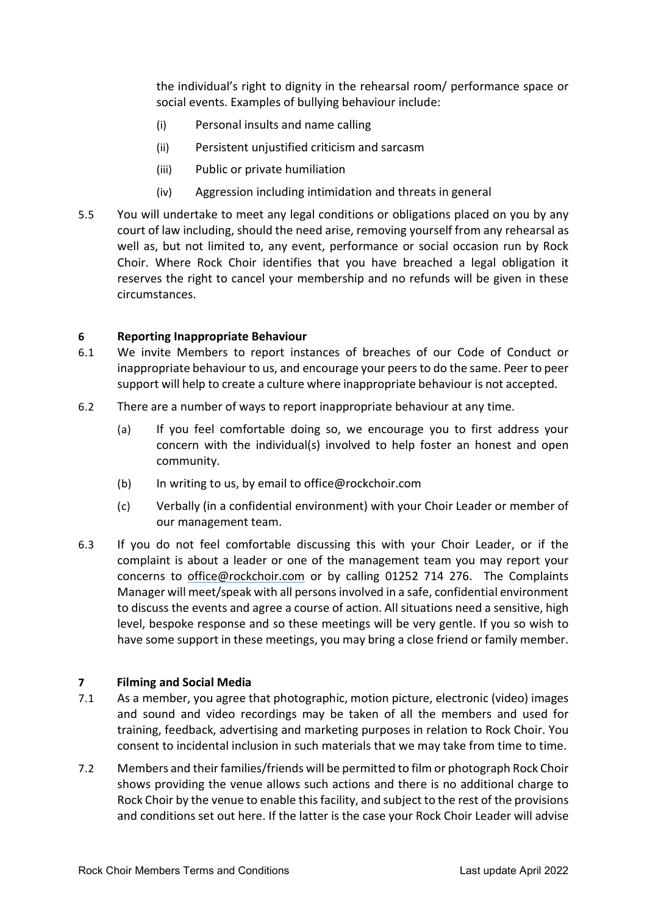the individual's right to dignity in the rehearsal room/ performance space or social events. Examples of bullying behaviour include:

- (i) Personal insults and name calling
- (ii) Persistent unjustified criticism and sarcasm
- (iii) Public or private humiliation
- (iv) Aggression including intimidation and threats in general
- 5.5 You will undertake to meet any legal conditions or obligations placed on you by any court of law including, should the need arise, removing yourself from any rehearsal as well as, but not limited to, any event, performance or social occasion run by Rock Choir. Where Rock Choir identifies that you have breached a legal obligation it reserves the right to cancel your membership and no refunds will be given in these circumstances.

## 6 Reporting Inappropriate Behaviour

- 6.1 We invite Members to report instances of breaches of our Code of Conduct or inappropriate behaviour to us, and encourage your peers to do the same. Peer to peer support will help to create a culture where inappropriate behaviour is not accepted.
- 6.2 There are a number of ways to report inappropriate behaviour at any time.
	- (a) If you feel comfortable doing so, we encourage you to first address your concern with the individual(s) involved to help foster an honest and open community.
	- (b) In writing to us, by email to office@rockchoir.com
	- (c) Verbally (in a confidential environment) with your Choir Leader or member of our management team.
- 6.3 If you do not feel comfortable discussing this with your Choir Leader, or if the complaint is about a leader or one of the management team you may report your concerns to office@rockchoir.com or by calling 01252 714 276. The Complaints Manager will meet/speak with all persons involved in a safe, confidential environment to discuss the events and agree a course of action. All situations need a sensitive, high level, bespoke response and so these meetings will be very gentle. If you so wish to have some support in these meetings, you may bring a close friend or family member.

# 7 Filming and Social Media

- 7.1 As a member, you agree that photographic, motion picture, electronic (video) images and sound and video recordings may be taken of all the members and used for training, feedback, advertising and marketing purposes in relation to Rock Choir. You consent to incidental inclusion in such materials that we may take from time to time.
- 7.2 Members and their families/friends will be permitted to film or photograph Rock Choir shows providing the venue allows such actions and there is no additional charge to Rock Choir by the venue to enable this facility, and subject to the rest of the provisions and conditions set out here. If the latter is the case your Rock Choir Leader will advise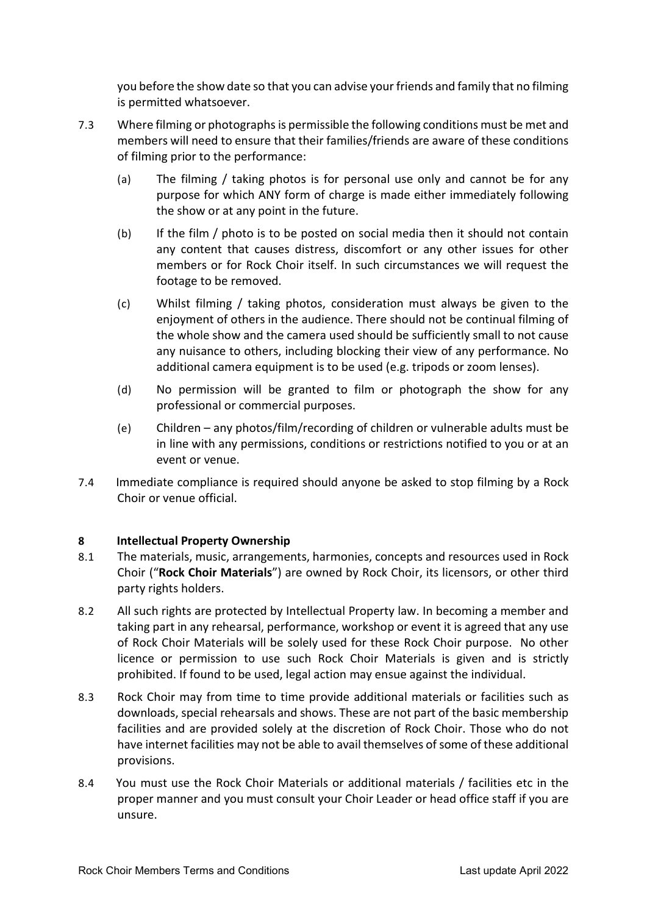you before the show date so that you can advise your friends and family that no filming is permitted whatsoever.

- 7.3 Where filming or photographs is permissible the following conditions must be met and members will need to ensure that their families/friends are aware of these conditions of filming prior to the performance:
	- (a) The filming / taking photos is for personal use only and cannot be for any purpose for which ANY form of charge is made either immediately following the show or at any point in the future.
	- (b) If the film / photo is to be posted on social media then it should not contain any content that causes distress, discomfort or any other issues for other members or for Rock Choir itself. In such circumstances we will request the footage to be removed.
	- (c) Whilst filming / taking photos, consideration must always be given to the enjoyment of others in the audience. There should not be continual filming of the whole show and the camera used should be sufficiently small to not cause any nuisance to others, including blocking their view of any performance. No additional camera equipment is to be used (e.g. tripods or zoom lenses).
	- (d) No permission will be granted to film or photograph the show for any professional or commercial purposes.
	- (e) Children any photos/film/recording of children or vulnerable adults must be in line with any permissions, conditions or restrictions notified to you or at an event or venue.
- 7.4 Immediate compliance is required should anyone be asked to stop filming by a Rock Choir or venue official.

# 8 Intellectual Property Ownership

- 8.1 The materials, music, arrangements, harmonies, concepts and resources used in Rock Choir ("Rock Choir Materials") are owned by Rock Choir, its licensors, or other third party rights holders.
- 8.2 All such rights are protected by Intellectual Property law. In becoming a member and taking part in any rehearsal, performance, workshop or event it is agreed that any use of Rock Choir Materials will be solely used for these Rock Choir purpose. No other licence or permission to use such Rock Choir Materials is given and is strictly prohibited. If found to be used, legal action may ensue against the individual.
- 8.3 Rock Choir may from time to time provide additional materials or facilities such as downloads, special rehearsals and shows. These are not part of the basic membership facilities and are provided solely at the discretion of Rock Choir. Those who do not have internet facilities may not be able to avail themselves of some of these additional provisions.
- 8.4 You must use the Rock Choir Materials or additional materials / facilities etc in the proper manner and you must consult your Choir Leader or head office staff if you are unsure.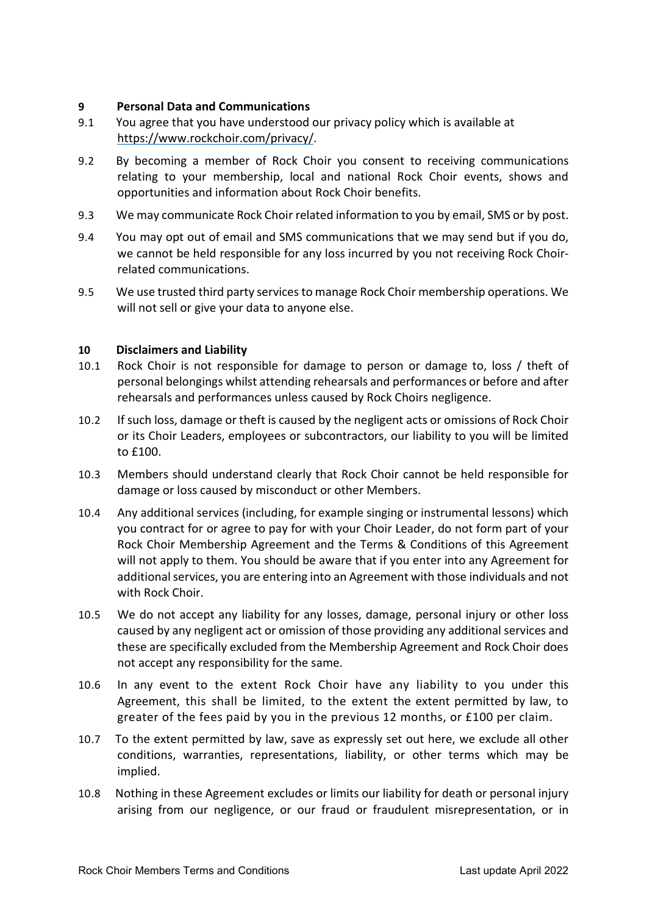# 9 Personal Data and Communications

- 9.1 You agree that you have understood our privacy policy which is available at https://www.rockchoir.com/privacy/.
- 9.2 By becoming a member of Rock Choir you consent to receiving communications relating to your membership, local and national Rock Choir events, shows and opportunities and information about Rock Choir benefits.
- 9.3 We may communicate Rock Choir related information to you by email, SMS or by post.
- 9.4 You may opt out of email and SMS communications that we may send but if you do, we cannot be held responsible for any loss incurred by you not receiving Rock Choirrelated communications.
- 9.5 We use trusted third party services to manage Rock Choir membership operations. We will not sell or give your data to anyone else.

## 10 Disclaimers and Liability

- 10.1 Rock Choir is not responsible for damage to person or damage to, loss / theft of personal belongings whilst attending rehearsals and performances or before and after rehearsals and performances unless caused by Rock Choirs negligence.
- 10.2 If such loss, damage or theft is caused by the negligent acts or omissions of Rock Choir or its Choir Leaders, employees or subcontractors, our liability to you will be limited to £100.
- 10.3 Members should understand clearly that Rock Choir cannot be held responsible for damage or loss caused by misconduct or other Members.
- 10.4 Any additional services (including, for example singing or instrumental lessons) which you contract for or agree to pay for with your Choir Leader, do not form part of your Rock Choir Membership Agreement and the Terms & Conditions of this Agreement will not apply to them. You should be aware that if you enter into any Agreement for additional services, you are entering into an Agreement with those individuals and not with Rock Choir.
- 10.5 We do not accept any liability for any losses, damage, personal injury or other loss caused by any negligent act or omission of those providing any additional services and these are specifically excluded from the Membership Agreement and Rock Choir does not accept any responsibility for the same.
- 10.6 In any event to the extent Rock Choir have any liability to you under this Agreement, this shall be limited, to the extent the extent permitted by law, to greater of the fees paid by you in the previous 12 months, or £100 per claim.
- 10.7 To the extent permitted by law, save as expressly set out here, we exclude all other conditions, warranties, representations, liability, or other terms which may be implied.
- 10.8 Nothing in these Agreement excludes or limits our liability for death or personal injury arising from our negligence, or our fraud or fraudulent misrepresentation, or in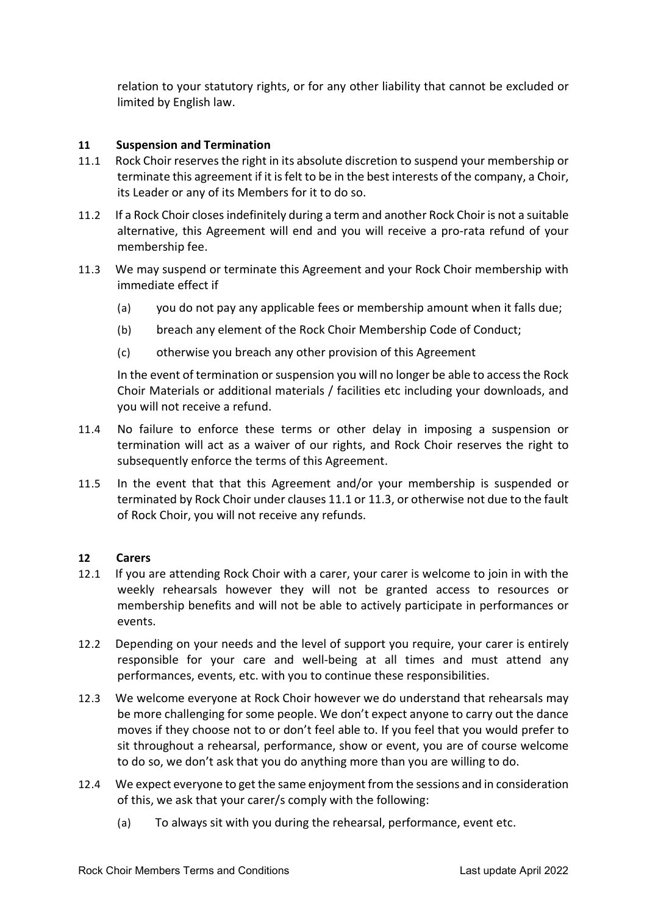relation to your statutory rights, or for any other liability that cannot be excluded or limited by English law.

### 11 Suspension and Termination

- 11.1 Rock Choir reserves the right in its absolute discretion to suspend your membership or terminate this agreement if it is felt to be in the best interests of the company, a Choir, its Leader or any of its Members for it to do so.
- 11.2 If a Rock Choir closes indefinitely during a term and another Rock Choir is not a suitable alternative, this Agreement will end and you will receive a pro-rata refund of your membership fee.
- 11.3 We may suspend or terminate this Agreement and your Rock Choir membership with immediate effect if
	- (a) you do not pay any applicable fees or membership amount when it falls due;
	- (b) breach any element of the Rock Choir Membership Code of Conduct;
	- (c) otherwise you breach any other provision of this Agreement

In the event of termination or suspension you will no longer be able to access the Rock Choir Materials or additional materials / facilities etc including your downloads, and you will not receive a refund.

- 11.4 No failure to enforce these terms or other delay in imposing a suspension or termination will act as a waiver of our rights, and Rock Choir reserves the right to subsequently enforce the terms of this Agreement.
- 11.5 In the event that that this Agreement and/or your membership is suspended or terminated by Rock Choir under clauses 11.1 or 11.3, or otherwise not due to the fault of Rock Choir, you will not receive any refunds.

### 12 Carers

- 12.1 If you are attending Rock Choir with a carer, your carer is welcome to join in with the weekly rehearsals however they will not be granted access to resources or membership benefits and will not be able to actively participate in performances or events.
- 12.2 Depending on your needs and the level of support you require, your carer is entirely responsible for your care and well-being at all times and must attend any performances, events, etc. with you to continue these responsibilities.
- 12.3 We welcome everyone at Rock Choir however we do understand that rehearsals may be more challenging for some people. We don't expect anyone to carry out the dance moves if they choose not to or don't feel able to. If you feel that you would prefer to sit throughout a rehearsal, performance, show or event, you are of course welcome to do so, we don't ask that you do anything more than you are willing to do.
- 12.4 We expect everyone to get the same enjoyment from the sessions and in consideration of this, we ask that your carer/s comply with the following:
	- (a) To always sit with you during the rehearsal, performance, event etc.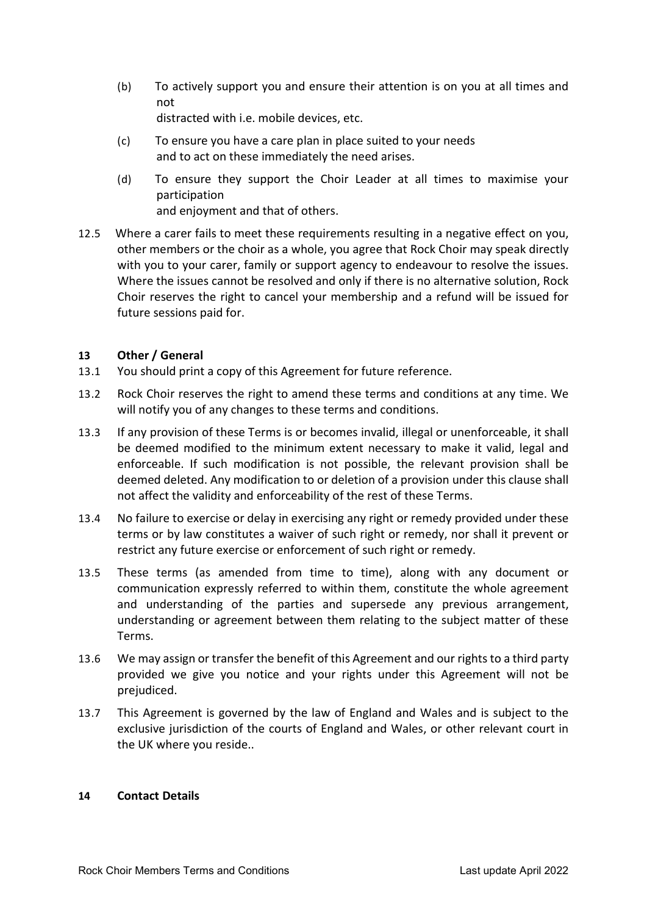(b) To actively support you and ensure their attention is on you at all times and not

distracted with i.e. mobile devices, etc.

- (c) To ensure you have a care plan in place suited to your needs and to act on these immediately the need arises.
- (d) To ensure they support the Choir Leader at all times to maximise your participation and enjoyment and that of others.
- 12.5 Where a carer fails to meet these requirements resulting in a negative effect on you, other members or the choir as a whole, you agree that Rock Choir may speak directly with you to your carer, family or support agency to endeavour to resolve the issues. Where the issues cannot be resolved and only if there is no alternative solution, Rock Choir reserves the right to cancel your membership and a refund will be issued for future sessions paid for.

## 13 Other / General

- 13.1 You should print a copy of this Agreement for future reference.
- 13.2 Rock Choir reserves the right to amend these terms and conditions at any time. We will notify you of any changes to these terms and conditions.
- 13.3 If any provision of these Terms is or becomes invalid, illegal or unenforceable, it shall be deemed modified to the minimum extent necessary to make it valid, legal and enforceable. If such modification is not possible, the relevant provision shall be deemed deleted. Any modification to or deletion of a provision under this clause shall not affect the validity and enforceability of the rest of these Terms.
- 13.4 No failure to exercise or delay in exercising any right or remedy provided under these terms or by law constitutes a waiver of such right or remedy, nor shall it prevent or restrict any future exercise or enforcement of such right or remedy.
- 13.5 These terms (as amended from time to time), along with any document or communication expressly referred to within them, constitute the whole agreement and understanding of the parties and supersede any previous arrangement, understanding or agreement between them relating to the subject matter of these Terms.
- 13.6 We may assign or transfer the benefit of this Agreement and our rights to a third party provided we give you notice and your rights under this Agreement will not be prejudiced.
- 13.7 This Agreement is governed by the law of England and Wales and is subject to the exclusive jurisdiction of the courts of England and Wales, or other relevant court in the UK where you reside..

### 14 Contact Details